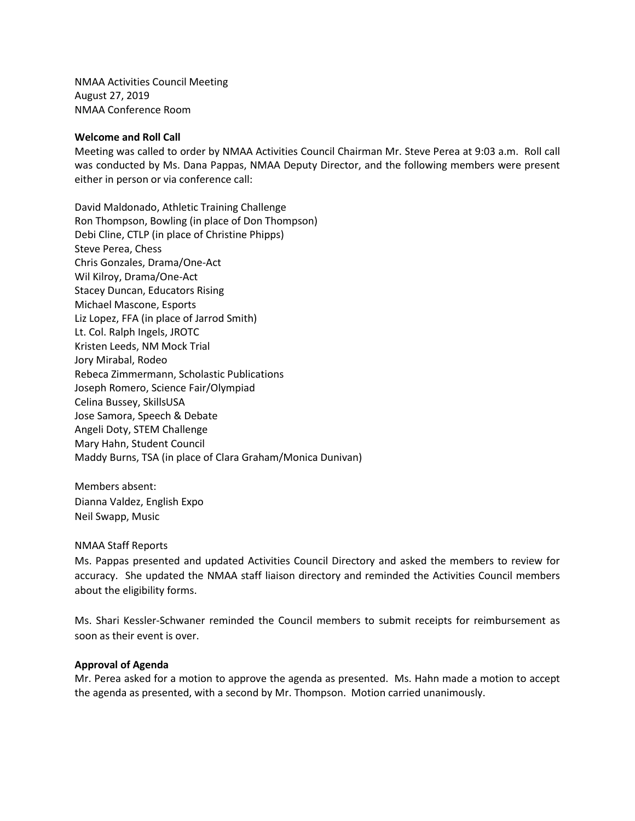NMAA Activities Council Meeting August 27, 2019 NMAA Conference Room

## **Welcome and Roll Call**

Meeting was called to order by NMAA Activities Council Chairman Mr. Steve Perea at 9:03 a.m. Roll call was conducted by Ms. Dana Pappas, NMAA Deputy Director, and the following members were present either in person or via conference call:

David Maldonado, Athletic Training Challenge Ron Thompson, Bowling (in place of Don Thompson) Debi Cline, CTLP (in place of Christine Phipps) Steve Perea, Chess Chris Gonzales, Drama/One-Act Wil Kilroy, Drama/One-Act Stacey Duncan, Educators Rising Michael Mascone, Esports Liz Lopez, FFA (in place of Jarrod Smith) Lt. Col. Ralph Ingels, JROTC Kristen Leeds, NM Mock Trial Jory Mirabal, Rodeo Rebeca Zimmermann, Scholastic Publications Joseph Romero, Science Fair/Olympiad Celina Bussey, SkillsUSA Jose Samora, Speech & Debate Angeli Doty, STEM Challenge Mary Hahn, Student Council Maddy Burns, TSA (in place of Clara Graham/Monica Dunivan)

Members absent: Dianna Valdez, English Expo Neil Swapp, Music

## NMAA Staff Reports

Ms. Pappas presented and updated Activities Council Directory and asked the members to review for accuracy. She updated the NMAA staff liaison directory and reminded the Activities Council members about the eligibility forms.

Ms. Shari Kessler-Schwaner reminded the Council members to submit receipts for reimbursement as soon as their event is over.

## **Approval of Agenda**

Mr. Perea asked for a motion to approve the agenda as presented. Ms. Hahn made a motion to accept the agenda as presented, with a second by Mr. Thompson. Motion carried unanimously.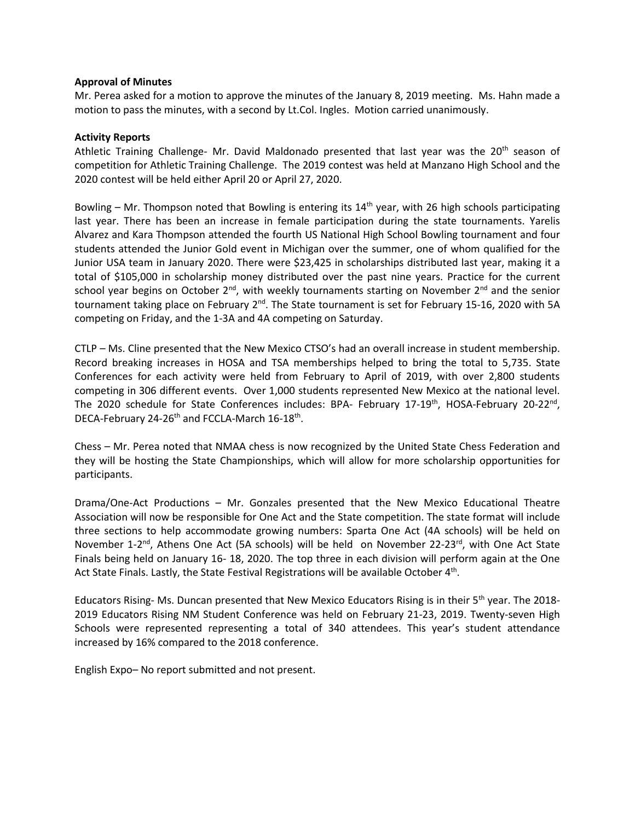# **Approval of Minutes**

Mr. Perea asked for a motion to approve the minutes of the January 8, 2019 meeting. Ms. Hahn made a motion to pass the minutes, with a second by Lt.Col. Ingles. Motion carried unanimously.

# **Activity Reports**

Athletic Training Challenge- Mr. David Maldonado presented that last year was the 20<sup>th</sup> season of competition for Athletic Training Challenge. The 2019 contest was held at Manzano High School and the 2020 contest will be held either April 20 or April 27, 2020.

Bowling – Mr. Thompson noted that Bowling is entering its  $14<sup>th</sup>$  year, with 26 high schools participating last year. There has been an increase in female participation during the state tournaments. Yarelis Alvarez and Kara Thompson attended the fourth US National High School Bowling tournament and four students attended the Junior Gold event in Michigan over the summer, one of whom qualified for the Junior USA team in January 2020. There were \$23,425 in scholarships distributed last year, making it a total of \$105,000 in scholarship money distributed over the past nine years. Practice for the current school year begins on October  $2^{nd}$ , with weekly tournaments starting on November  $2^{nd}$  and the senior tournament taking place on February 2<sup>nd</sup>. The State tournament is set for February 15-16, 2020 with 5A competing on Friday, and the 1-3A and 4A competing on Saturday.

CTLP – Ms. Cline presented that the New Mexico CTSO's had an overall increase in student membership. Record breaking increases in HOSA and TSA memberships helped to bring the total to 5,735. State Conferences for each activity were held from February to April of 2019, with over 2,800 students competing in 306 different events. Over 1,000 students represented New Mexico at the national level. The 2020 schedule for State Conferences includes: BPA- February 17-19<sup>th</sup>, HOSA-February 20-22<sup>nd</sup>, DECA-February 24-26<sup>th</sup> and FCCLA-March 16-18<sup>th</sup>.

Chess – Mr. Perea noted that NMAA chess is now recognized by the United State Chess Federation and they will be hosting the State Championships, which will allow for more scholarship opportunities for participants.

Drama/One-Act Productions – Mr. Gonzales presented that the New Mexico Educational Theatre Association will now be responsible for One Act and the State competition. The state format will include three sections to help accommodate growing numbers: Sparta One Act (4A schools) will be held on November 1-2<sup>nd</sup>, Athens One Act (5A schools) will be held on November 22-23<sup>rd</sup>, with One Act State Finals being held on January 16- 18, 2020. The top three in each division will perform again at the One Act State Finals. Lastly, the State Festival Registrations will be available October 4<sup>th</sup>.

Educators Rising- Ms. Duncan presented that New Mexico Educators Rising is in their 5th year. The 2018- 2019 Educators Rising NM Student Conference was held on February 21-23, 2019. Twenty-seven High Schools were represented representing a total of 340 attendees. This year's student attendance increased by 16% compared to the 2018 conference.

English Expo– No report submitted and not present.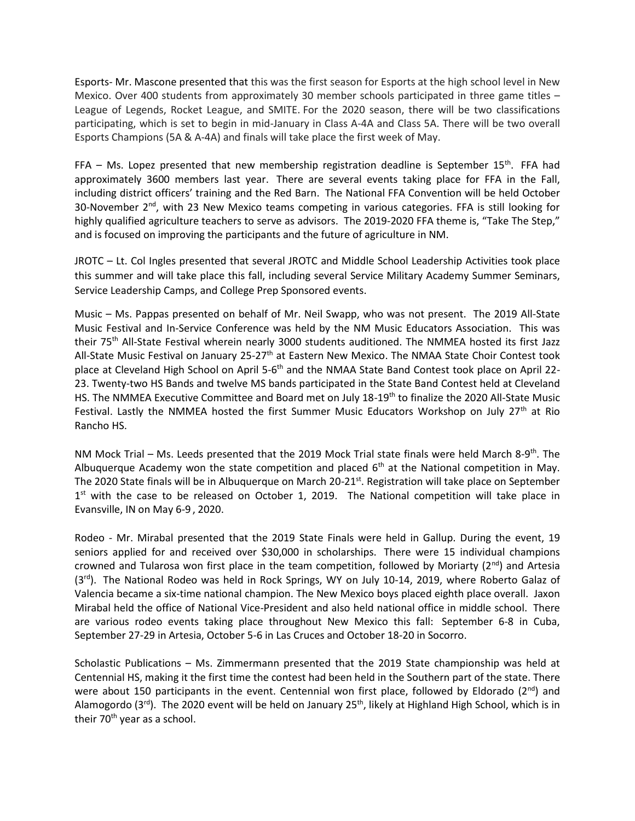Esports- Mr. Mascone presented that this was the first season for Esports at the high school level in New Mexico. Over 400 students from approximately 30 member schools participated in three game titles -League of Legends, Rocket League, and SMITE. For the 2020 season, there will be two classifications participating, which is set to begin in mid-January in Class A-4A and Class 5A. There will be two overall Esports Champions (5A & A-4A) and finals will take place the first week of May.

FFA  $-$  Ms. Lopez presented that new membership registration deadline is September 15<sup>th</sup>. FFA had approximately 3600 members last year. There are several events taking place for FFA in the Fall, including district officers' training and the Red Barn. The National FFA Convention will be held October 30-November 2<sup>nd</sup>, with 23 New Mexico teams competing in various categories. FFA is still looking for highly qualified agriculture teachers to serve as advisors. The 2019-2020 FFA theme is, "Take The Step," and is focused on improving the participants and the future of agriculture in NM.

JROTC – Lt. Col Ingles presented that several JROTC and Middle School Leadership Activities took place this summer and will take place this fall, including several Service Military Academy Summer Seminars, Service Leadership Camps, and College Prep Sponsored events.

Music – Ms. Pappas presented on behalf of Mr. Neil Swapp, who was not present. The 2019 All-State Music Festival and In-Service Conference was held by the NM Music Educators Association. This was their 75<sup>th</sup> All-State Festival wherein nearly 3000 students auditioned. The NMMEA hosted its first Jazz All-State Music Festival on January 25-27<sup>th</sup> at Eastern New Mexico. The NMAA State Choir Contest took place at Cleveland High School on April 5-6<sup>th</sup> and the NMAA State Band Contest took place on April 22-23. Twenty-two HS Bands and twelve MS bands participated in the State Band Contest held at Cleveland HS. The NMMEA Executive Committee and Board met on July 18-19<sup>th</sup> to finalize the 2020 All-State Music Festival. Lastly the NMMEA hosted the first Summer Music Educators Workshop on July 27<sup>th</sup> at Rio Rancho HS.

NM Mock Trial - Ms. Leeds presented that the 2019 Mock Trial state finals were held March 8-9<sup>th</sup>. The Albuquerque Academy won the state competition and placed  $6<sup>th</sup>$  at the National competition in May. The 2020 State finals will be in Albuquerque on March 20-21st. Registration will take place on September  $1<sup>st</sup>$  with the case to be released on October 1, 2019. The National competition will take place in Evansville, IN on May 6-9 , 2020.

Rodeo - Mr. Mirabal presented that the 2019 State Finals were held in Gallup. During the event, 19 seniors applied for and received over \$30,000 in scholarships. There were 15 individual champions crowned and Tularosa won first place in the team competition, followed by Moriarty  $(2^{nd})$  and Artesia (3<sup>rd</sup>). The National Rodeo was held in Rock Springs, WY on July 10-14, 2019, where Roberto Galaz of Valencia became a six-time national champion. The New Mexico boys placed eighth place overall. Jaxon Mirabal held the office of National Vice-President and also held national office in middle school. There are various rodeo events taking place throughout New Mexico this fall: September 6-8 in Cuba, September 27-29 in Artesia, October 5-6 in Las Cruces and October 18-20 in Socorro.

Scholastic Publications – Ms. Zimmermann presented that the 2019 State championship was held at Centennial HS, making it the first time the contest had been held in the Southern part of the state. There were about 150 participants in the event. Centennial won first place, followed by Eldorado ( $2^{nd}$ ) and Alamogordo (3rd). The 2020 event will be held on January 25<sup>th</sup>, likely at Highland High School, which is in their 70<sup>th</sup> year as a school.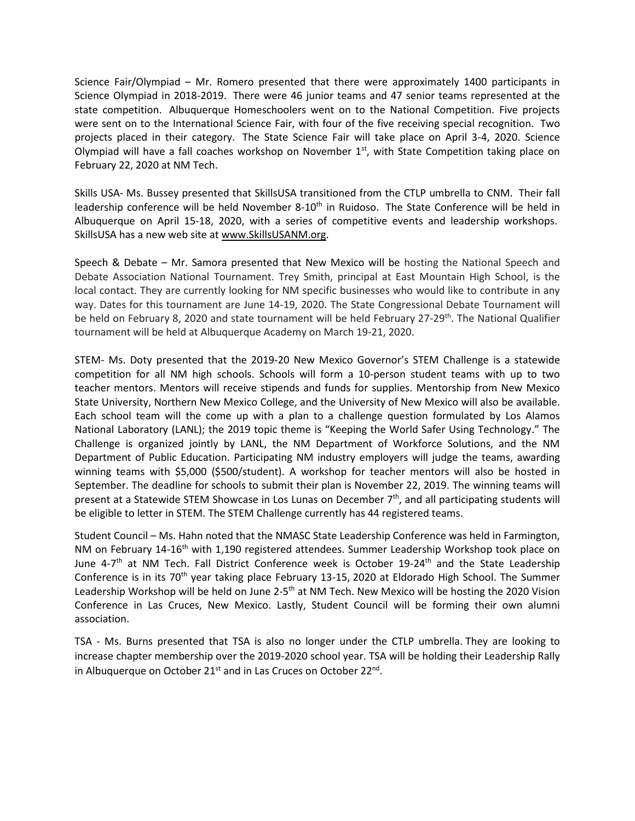Science Fair/Olympiad – Mr. Romero presented that there were approximately 1400 participants in Science Olympiad in 2018-2019. There were 46 junior teams and 47 senior teams represented at the state competition. Albuquerque Homeschoolers went on to the National Competition. Five projects were sent on to the International Science Fair, with four of the five receiving special recognition. Two projects placed in their category. The State Science Fair will take place on April 3-4, 2020. Science Olympiad will have a fall coaches workshop on November  $1<sup>st</sup>$ , with State Competition taking place on February 22, 2020 at NM Tech.

Skills USA- Ms. Bussey presented that SkillsUSA transitioned from the CTLP umbrella to CNM. Their fall leadership conference will be held November 8-10<sup>th</sup> in Ruidoso. The State Conference will be held in Albuquerque on April 15-18, 2020, with a series of competitive events and leadership workshops. SkillsUSA has a new web site a[t www.SkillsUSANM.org.](http://www.skillsusanm.org/)

Speech & Debate – Mr. Samora presented that New Mexico will be hosting the National Speech and Debate Association National Tournament. Trey Smith, principal at East Mountain High School, is the local contact. They are currently looking for NM specific businesses who would like to contribute in any way. Dates for this tournament are June 14-19, 2020. The State Congressional Debate Tournament will be held on February 8, 2020 and state tournament will be held February 27-29<sup>th</sup>. The National Qualifier tournament will be held at Albuquerque Academy on March 19-21, 2020.

STEM- Ms. Doty presented that the 2019-20 New Mexico Governor's STEM Challenge is a statewide competition for all NM high schools. Schools will form a 10-person student teams with up to two teacher mentors. Mentors will receive stipends and funds for supplies. Mentorship from New Mexico State University, Northern New Mexico College, and the University of New Mexico will also be available. Each school team will the come up with a plan to a challenge question formulated by Los Alamos National Laboratory (LANL); the 2019 topic theme is "Keeping the World Safer Using Technology." The Challenge is organized jointly by LANL, the NM Department of Workforce Solutions, and the NM Department of Public Education. Participating NM industry employers will judge the teams, awarding winning teams with \$5,000 (\$500/student). A workshop for teacher mentors will also be hosted in September. The deadline for schools to submit their plan is November 22, 2019. The winning teams will present at a Statewide STEM Showcase in Los Lunas on December  $7<sup>th</sup>$ , and all participating students will be eligible to letter in STEM. The STEM Challenge currently has 44 registered teams.

Student Council – Ms. Hahn noted that the NMASC State Leadership Conference was held in Farmington, NM on February 14-16<sup>th</sup> with 1,190 registered attendees. Summer Leadership Workshop took place on June 4-7<sup>th</sup> at NM Tech. Fall District Conference week is October 19-24<sup>th</sup> and the State Leadership Conference is in its 70<sup>th</sup> year taking place February 13-15, 2020 at Eldorado High School. The Summer Leadership Workshop will be held on June 2-5<sup>th</sup> at NM Tech. New Mexico will be hosting the 2020 Vision Conference in Las Cruces, New Mexico. Lastly, Student Council will be forming their own alumni association.

TSA - Ms. Burns presented that TSA is also no longer under the CTLP umbrella. They are looking to increase chapter membership over the 2019-2020 school year. TSA will be holding their Leadership Rally in Albuquerque on October 21<sup>st</sup> and in Las Cruces on October 22<sup>nd</sup>.